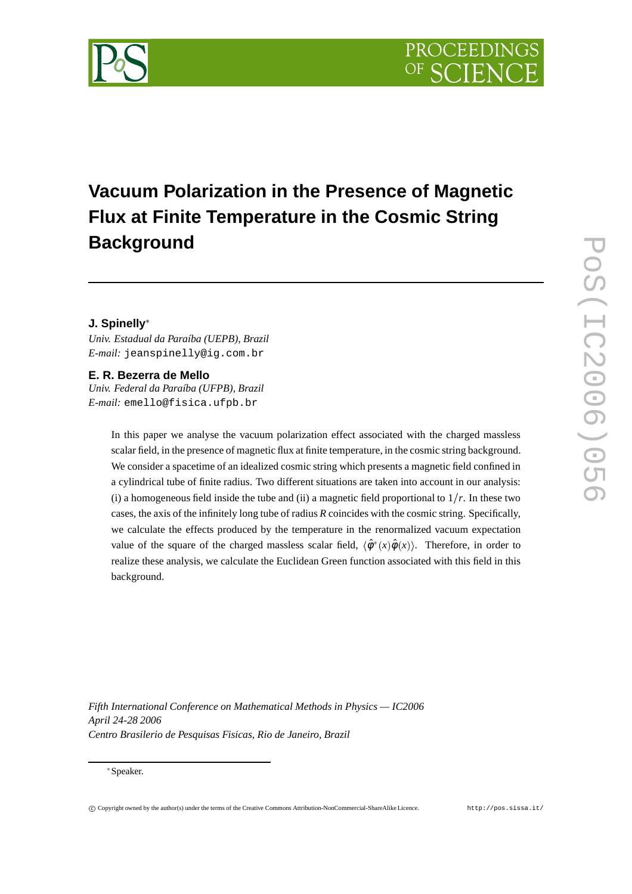

# **Vacuum Polarization in the Presence of Magnetic Flux at Finite Temperature in the Cosmic String Background**

### **J. Spinelly**

*Univ. Estadual da Paraíba (UEPB), Brazil E-mail:* jeanspinelly@ig.com.br

### **E. R. Bezerra de Mello**

*Univ. Federal da Paraíba (UFPB), Brazil E-mail:* emello@fisica.ufpb.br

> In this paper we analyse the vacuum polarization effect associated with the charged massless scalar field, in the presence of magnetic flux at finite temperature, in the cosmic string background. We consider a spacetime of an idealized cosmic string which presents a magnetic field confined in a cylindrical tube of finite radius. Two different situations are taken into account in our analysis: (i) a homogeneous field inside the tube and (ii) a magnetic field proportional to  $1/r$ . In these two cases, the axis of the infinitely long tube of radius *R* coincides with the cosmic string. Specifically, we calculate the effects produced by the temperature in the renormalized vacuum expectation value of the square of the charged massless scalar field,  $\langle \hat{\phi}^*(x) \hat{\phi}(x) \rangle$ . Therefore, in order to realize these analysis, we calculate the Euclidean Green function associated with this field in this background.

*Fifth International Conference on Mathematical Methods in Physics — IC2006 April 24-28 2006 Centro Brasilerio de Pesquisas Fisicas, Rio de Janeiro, Brazil*

#### Speaker.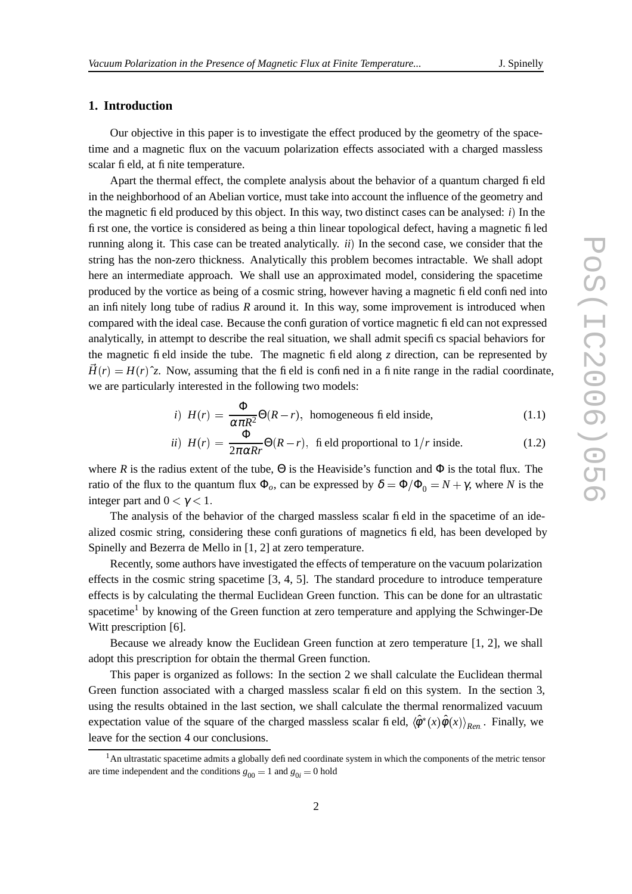### **1. Introduction**

Our objective in this paper is to investigate the effect produced by the geometry of the spacetime and a magnetic flux on the vacuum polarization effects associated with a charged massless scalar field, at finite temperature.

Apart the thermal effect, the complete analysis about the behavior of a quantum charged field in the neighborhood of an Abelian vortice, must take into account the influence of the geometry and the magnetic field produced by this object. In this way, two distinct cases can be analysed:  $i$ ) In the first one, the vortice is considered as being a thin linear topological defect, having a magnetic filed running along it. This case can be treated analytically. *ii*) In the second case, we consider that the string has the non-zero thickness. Analytically this problem becomes intractable. We shall adopt here an intermediate approach. We shall use an approximated model, considering the spacetime produced by the vortice as being of a cosmic string, however having a magnetic field confined into an infinitely long tube of radius *R* around it. In this way, some improvement is introduced when compared with the ideal case. Because the configuration of vortice magnetic field can not expressed analytically, in attempt to describe the real situation, we shall admit specifics spacial behaviors for the magnetic field inside the tube. The magnetic field along *z* direction, can be represented by the contract of the contract of the contract of the contract of the contract of  $\vec{H}(r) = H(r)\hat{z}$ . Now, assuming that the field is confined in a finite range in the radial coordinate, we are particularly interested in the following two models:

*i)* 
$$
H(r) = \frac{\Phi}{\alpha \pi R^2} \Theta(R - r)
$$
, homogeneous field inside, (1.1)

*ii)* 
$$
H(r) = \frac{\Phi}{2\pi \alpha R r} \Theta(R - r)
$$
, fi eld proportional to  $1/r$  inside. (1.2)

where *R* is the radius extent of the tube,  $\Theta$  is the Heaviside's function and  $\Phi$  is the total flux. The ratio of the flux to the quantum flux  $\Phi_o$ , can be expressed by  $\delta = \Phi/\Phi_0 = N + \gamma$ , where *N* is the integer part and  $0 < \gamma < 1$ .

The analysis of the behavior of the charged massless scalar field in the spacetime of an idealized cosmic string, considering these configurations of magnetics field, has been developed by Spinelly and Bezerra de Mello in [1, 2] at zero temperature.

Recently, some authors have investigated the effects of temperature on the vacuum polarization effects in the cosmic string spacetime [3, 4, 5]. The standard procedure to introduce temperature effects is by calculating the thermal Euclidean Green function. This can be done for an ultrastatic spacetime<sup>1</sup> by knowing of the Green function at zero temperature and applying the Schwinger-De Witt prescription [6].

Because we already know the Euclidean Green function at zero temperature [1, 2], we shall adopt this prescription for obtain the thermal Green function.

This paper is organized as follows: In the section 2 we shall calculate the Euclidean thermal Green function associated with a charged massless scalar field on this system. In the section 3, using the results obtained in the last section, we shall calculate the thermal renormalized vacuum expectation value of the square of the charged massless scalar field,  $\langle \hat{\phi}^*(x) \hat{\phi}(x) \rangle_{Ren}$ . Finally, we leave for the section 4 our conclusions.

<sup>&</sup>lt;sup>1</sup>An ultrastatic spacetime admits a globally defined coordinate system in which the components of the metric tensor are time independent and the conditions  $g_{00} = 1$  and  $g_{0i} = 0$  hold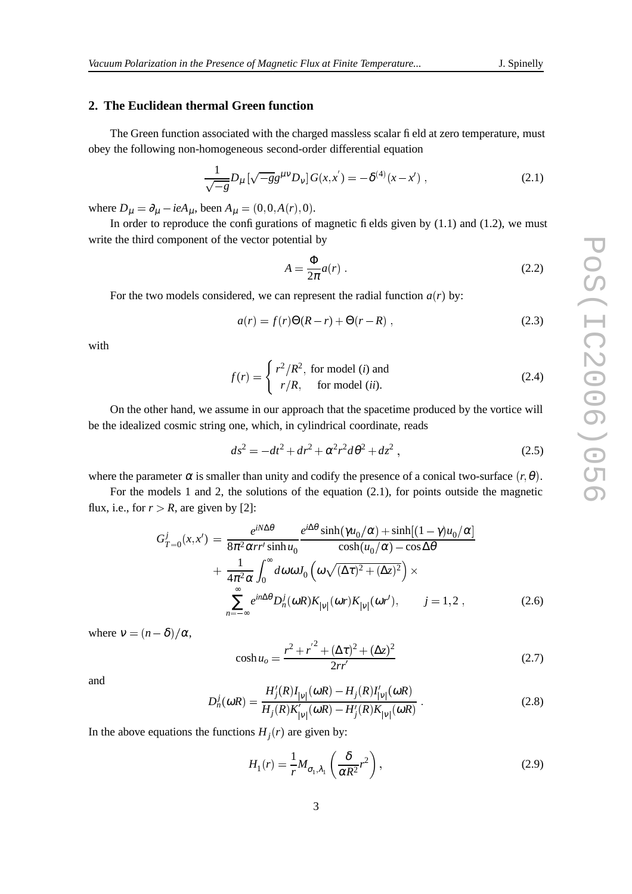#### **2. The Euclidean thermal Green function**

The Green function associated with the charged massless scalar field at zero temperature, must obey the following non-homogeneous second-order differential equation

$$
\frac{1}{\sqrt{-g}}D_{\mu}\left[\sqrt{-g}g^{\mu\nu}D_{\nu}\right]G(x,x') = -\delta^{(4)}(x-x')\;, \tag{2.1}
$$

where  $D_{\mu} = \partial_{\mu} - ieA_{\mu}$ , been  $A_{\mu} = (0, 0, A(r), 0)$ .

In order to reproduce the configurations of magnetic fields given by  $(1.1)$  and  $(1.2)$ , we must write the third component of the vector potential by

$$
A = \frac{\Phi}{2\pi} a(r) \tag{2.2}
$$

For the two models considered, we can represent the radial function  $a(r)$  by:

$$
a(r) = f(r)\Theta(R - r) + \Theta(r - R) , \qquad (2.3)
$$

with

$$
f(r) = \begin{cases} r^2/R^2, & \text{for model } (i) \text{ and} \\ r/R, & \text{for model } (ii). \end{cases}
$$
 (2.4)

On the other hand, we assume in our approach that the spacetime produced by the vortice will be the idealized cosmic string one, which, in cylindrical coordinate, reads

$$
ds^{2} = -dt^{2} + dr^{2} + \alpha^{2} r^{2} d\theta^{2} + dz^{2} , \qquad (2.5)
$$

where the parameter  $\alpha$  is smaller than unity and codify the presence of a conical two-surface  $(r, \theta)$ .

For the models 1 and 2, the solutions of the equation (2.1), for points outside the magnetic flux, i.e., for  $r > R$ , are given by [2]:

$$
G_{T=0}^{j}(x,x') = \frac{e^{iN\Delta\theta}}{8\pi^{2}\alpha r r' \sinh u_{0}} \frac{e^{i\Delta\theta} \sinh(\gamma u_{0}/\alpha) + \sinh[(1-\gamma)u_{0}/\alpha]}{\cosh(u_{0}/\alpha) - \cos\Delta\theta} + \frac{1}{4\pi^{2}\alpha} \int_{0}^{\infty} d\omega \omega J_{0} \left(\omega \sqrt{(\Delta\tau)^{2} + (\Delta z)^{2}}\right) \times \sum_{n=-\infty}^{\infty} e^{in\Delta\theta} D_{n}^{j}(\omega R) K_{|V|}(\omega r) K_{|V|}(\omega r'), \qquad j = 1, 2, \qquad (2.6)
$$

where  $v = (n - \delta)/\alpha$ ,

$$
\cosh u_o = \frac{r^2 + r^{'2} + (\Delta \tau)^2 + (\Delta z)^2}{2rr'} \tag{2.7}
$$

and

$$
D_n^j(\omega R) = \frac{H'_j(R)I_{|\nu|}(\omega R) - H_j(R)I'_{|\nu|}(\omega R)}{H_j(R)K'_{|\nu|}(\omega R) - H'_j(R)K_{|\nu|}(\omega R)}.
$$
\n(2.8)

In the above equations the functions  $H_j(r)$  are given by:

$$
H_1(r) = \frac{1}{r} M_{\sigma_1, \lambda_1} \left( \frac{\delta}{\alpha R^2} r^2 \right),\tag{2.9}
$$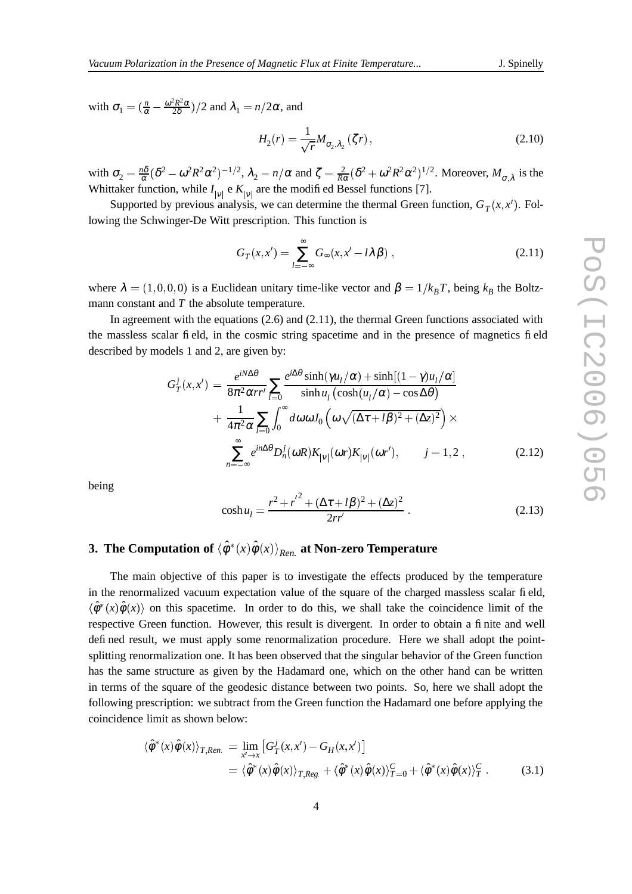with  $\sigma_1 = \left(\frac{n}{\alpha} - \frac{\omega^2 R^2 \alpha}{2\delta}\right)/2$  and  $\lambda_1 = n/2\alpha$ , and

$$
H_2(r) = \frac{1}{\sqrt{r}} M_{\sigma_2, \lambda_2}(\zeta r), \qquad (2.10)
$$

with  $\sigma_2 = \frac{n\delta}{\alpha} (\delta^2 - \omega^2 R^2 \alpha^2)^{-1/2}$ ,  $\lambda_2 = n/\alpha$  and  $\zeta = \frac{2}{R\alpha} (\delta^2 + \omega^2 R^2 \alpha^2)^{1/2}$ . Moreover,  $M_{\sigma, \lambda}$  is the Whittaker function, while  $I_{|v|}$  e  $K_{|v|}$  are the modified Bessel functions [7].

Supported by previous analysis, we can determine the thermal Green function,  $G_T(x, x')$ . Following the Schwinger-De Witt prescription. This function is

$$
G_T(x, x') = \sum_{l = -\infty}^{\infty} G_{\infty}(x, x' - l\lambda \beta) ,
$$
 (2.11)

where  $\lambda = (1, 0, 0, 0)$  is a Euclidean unitary time-like vector and  $\beta = 1/k_B T$ , being  $k_B$  the Boltzmann constant and *T* the absolute temperature.

In agreement with the equations  $(2.6)$  and  $(2.11)$ , the thermal Green functions associated with the massless scalar field, in the cosmic string spacetime and in the presence of magnetics field described by models 1 and 2, are given by:

$$
G_T^j(x, x') = \frac{e^{iN\Delta\theta}}{8\pi^2 \alpha r^r} \sum_{l=0}^{\infty} \frac{e^{i\Delta\theta} \sinh(\gamma u_l/\alpha) + \sinh[(1-\gamma)u_l/\alpha]}{\sinh u_l (\cosh(u_l/\alpha) - \cos \Delta\theta)}
$$
  
+ 
$$
\frac{1}{4\pi^2 \alpha} \sum_{l=0}^{\infty} \int_0^{\infty} d\omega \omega J_0 \left( \omega \sqrt{(\Delta \tau + l\beta)^2 + (\Delta z)^2} \right) \times
$$
  

$$
\sum_{n=-\infty}^{\infty} e^{in\Delta\theta} D_n^j(\omega R) K_{|V|}(\omega r) K_{|V|}(\omega r'), \qquad j = 1, 2,
$$
 (2.12)

being

$$
\cosh u_l = \frac{r^2 + r'^2 + (\Delta \tau + l\beta)^2 + (\Delta z)^2}{2rr'}.
$$
\n(2.13)

## **3. The Computation of**  $\braket{\hat{\phi}^*(x) \hat{\phi}(x)}_{Ren.}$  at Non-zero Temperature

The main objective of this paper is to investigate the effects produced by the temperature in the renormalized vacuum expectation value of the square of the charged massless scalar field,  $\langle \hat{\phi}^*(x) \hat{\phi}(x) \rangle$  on this spacetime. In order to do this, we shall take the coincidence limit of the respective Green function. However, this result is divergent. In order to obtain a finite and well defined result, we must apply some renormalization procedure. Here we shall adopt the pointsplitting renormalization one. It has been observed that the singular behavior of the Green function has the same structure as given by the Hadamard one, which on the other hand can be written in terms of the square of the geodesic distance between two points. So, here we shall adopt the following prescription: we subtract from the Green function the Hadamard one before applying the coincidence limit as shown below:

$$
\langle \hat{\phi}^*(x)\hat{\phi}(x)\rangle_{T,Ren.} = \lim_{x'\to x} \left[G_T^j(x,x') - G_H(x,x')\right]
$$
  
=  $\langle \hat{\phi}^*(x)\hat{\phi}(x)\rangle_{T,Reg.} + \langle \hat{\phi}^*(x)\hat{\phi}(x)\rangle_{T=0}^C + \langle \hat{\phi}^*(x)\hat{\phi}(x)\rangle_T^C.$  (3.1)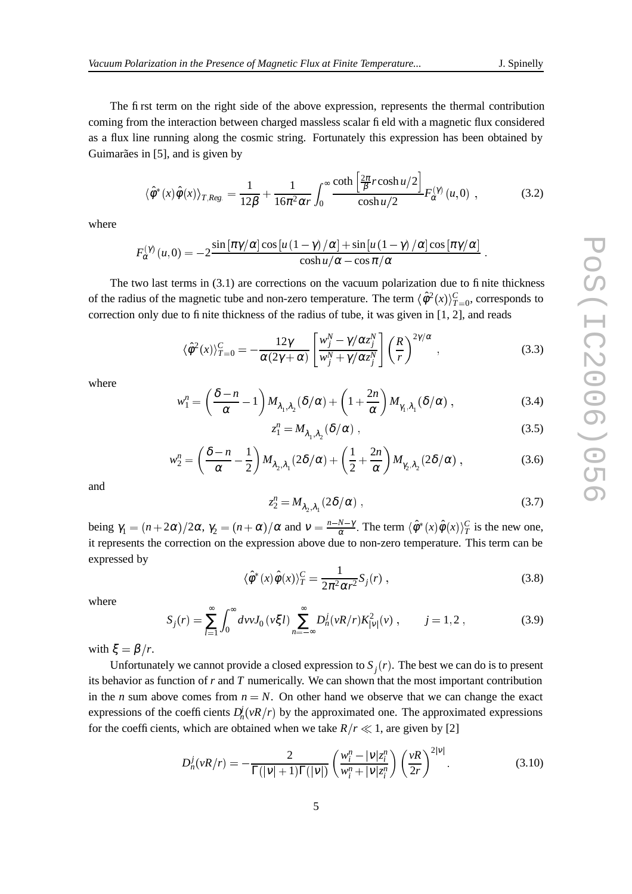The first term on the right side of the above expression, represents the thermal contribution coming from the interaction between charged massless scalar field with a magnetic flux considered as a flux line running along the cosmic string. Fortunately this expression has been obtained by Guimarães in [5], and is given by

$$
\left\langle \hat{\phi}^*(x)\hat{\phi}(x)\right\rangle_{T,Reg.} = \frac{1}{12\beta} + \frac{1}{16\pi^2 \alpha r} \int_0^\infty \frac{\coth\left[\frac{2\pi}{\beta} r \cosh u/2\right]}{\cosh u/2} F_\alpha^{(\gamma)}(u,0) ,\qquad (3.2)
$$

where

$$
F_{\alpha}^{(\gamma)}(u,0) = -2 \frac{\sin \left[\pi \gamma/\alpha\right] \cos \left[u\left(1-\gamma\right)/\alpha\right] + \sin \left[u\left(1-\gamma\right)/\alpha\right] \cos \left[\pi \gamma/\alpha\right]}{\cosh u/\alpha - \cos \pi/\alpha}.
$$

The two last terms in (3.1) are corrections on the vacuum polarization due to finite thickness of the radius of the magnetic tube and non-zero temperature. The term  $\langle \hat{\phi}^2(x) \rangle_{T=0}^C$ , corresponds to correction only due to finite thickness of the radius of tube, it was given in [1, 2], and reads

$$
\langle \hat{\phi}^2(x) \rangle_{T=0}^C = -\frac{12\gamma}{\alpha(2\gamma + \alpha)} \left[ \frac{w_j^N - \gamma/\alpha z_j^N}{w_j^N + \gamma/\alpha z_j^N} \right] \left( \frac{R}{r} \right)^{2\gamma/\alpha}, \qquad (3.3)
$$

where

$$
w_1^n = \left(\frac{\delta - n}{\alpha} - 1\right) M_{\lambda_1, \lambda_2} (\delta / \alpha) + \left(1 + \frac{2n}{\alpha}\right) M_{\gamma_1, \lambda_1} (\delta / \alpha) ,\qquad (3.4)
$$

$$
z_1^n = M_{\lambda_1, \lambda_2} (\delta/\alpha) , \qquad (3.5)
$$

$$
w_2^n = \left(\frac{\delta - n}{\alpha} - \frac{1}{2}\right) M_{\lambda_2, \lambda_1}(2\delta/\alpha) + \left(\frac{1}{2} + \frac{2n}{\alpha}\right) M_{\gamma_2, \lambda_2}(2\delta/\alpha) ,\tag{3.6}
$$

and

$$
z_2^n = M_{\lambda_2, \lambda_1} (2\delta/\alpha) , \qquad (3.7)
$$

being  $\gamma_1 = (n+2\alpha)/2\alpha$ ,  $\gamma_2 = (n+\alpha)/\alpha$  and  $v = \frac{n-N-\gamma}{\alpha}$ . The term  $\langle \hat{\phi}^*(x) \hat{\phi}(x) \rangle_T^C$  is the new one, it represents the correction on the expression above due to non-zero temperature. This term can be expressed by

$$
\langle \hat{\phi}^*(x)\hat{\phi}(x)\rangle_T^C = \frac{1}{2\pi^2\alpha r^2}S_j(r) ,\qquad(3.8)
$$

where

$$
S_j(r) = \sum_{l=1}^{\infty} \int_0^{\infty} dv \, J_0(v\xi l) \sum_{n=-\infty}^{\infty} D_n^j(vR/r) K_{|V|}^2(v) \;, \qquad j = 1, 2 \;, \tag{3.9}
$$

with  $\xi = \beta / r$ .

Unfortunately we cannot provide a closed expression to  $S_j(r)$ . The best we can do is to present its behavior as function of *r* and *T* numerically. We can shown that the most important contribution in the *n* sum above comes from  $n = N$ . On other hand we observe that we can change the exact expressions of the coefficients  $D_n^j(vR/r)$  by the approximated one. The approximated expressions for the coefficients, which are obtained when we take  $R/r \ll 1$ , are given by [2]

$$
D_n^j(\nu R/r) = -\frac{2}{\Gamma(|\nu|+1)\Gamma(|\nu|)} \left(\frac{w_i^n - |\nu|z_i^n}{w_i^n + |\nu|z_i^n}\right) \left(\frac{\nu R}{2r}\right)^{2|\nu|}.
$$
 (3.10)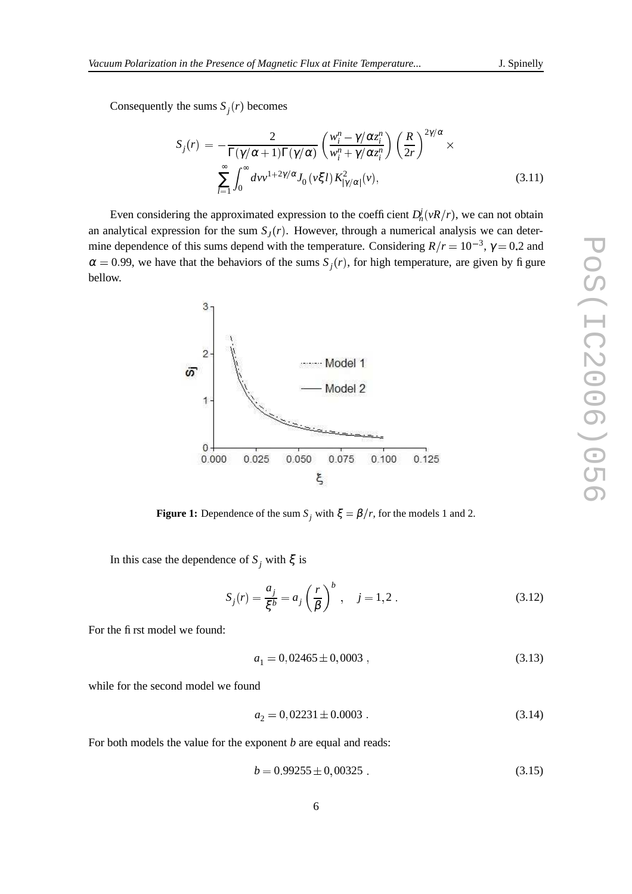Consequently the sums  $S_j(r)$  becomes

$$
S_j(r) = -\frac{2}{\Gamma(\gamma/\alpha+1)\Gamma(\gamma/\alpha)} \left(\frac{w_i^n - \gamma/\alpha z_i^n}{w_i^n + \gamma/\alpha z_i^n}\right) \left(\frac{R}{2r}\right)^{2\gamma/\alpha} \times \sum_{l=1}^{\infty} \int_0^{\infty} dv v^{1+2\gamma/\alpha} J_0(v\xi l) K_{|\gamma/\alpha|}^2(v), \tag{3.11}
$$

Even considering the approximated expression to the coefficient  $D_n^j(\nu R/r)$ , we can not obtain an analytical expression for the sum  $S<sub>J</sub>(r)$ . However, through a numerical analysis we can determine dependence of this sums depend with the temperature. Considering  $R/r = 10^{-3}$ ,  $\gamma = 0.2$  and  $\alpha = 0.99$ , we have that the behaviors of the sums  $S_j(r)$ , for high temperature, are given by figure bellow.



**Figure 1:** Dependence of the sum  $S_j$  with  $\xi = \beta/r$ , for the models 1 and 2.

In this case the dependence of *S*<sub>*j*</sub> with  $ξ$  is

$$
S_j(r) = \frac{a_j}{\xi^b} = a_j \left(\frac{r}{\beta}\right)^b, \quad j = 1, 2.
$$
 (3.12)

For the first model we found:

$$
a_1 = 0,02465 \pm 0,0003 , \t\t(3.13)
$$

while for the second model we found

$$
a_2 = 0,02231 \pm 0.0003 \tag{3.14}
$$

For both models the value for the exponent *b* are equal and reads:

$$
b = 0.99255 \pm 0,00325 \tag{3.15}
$$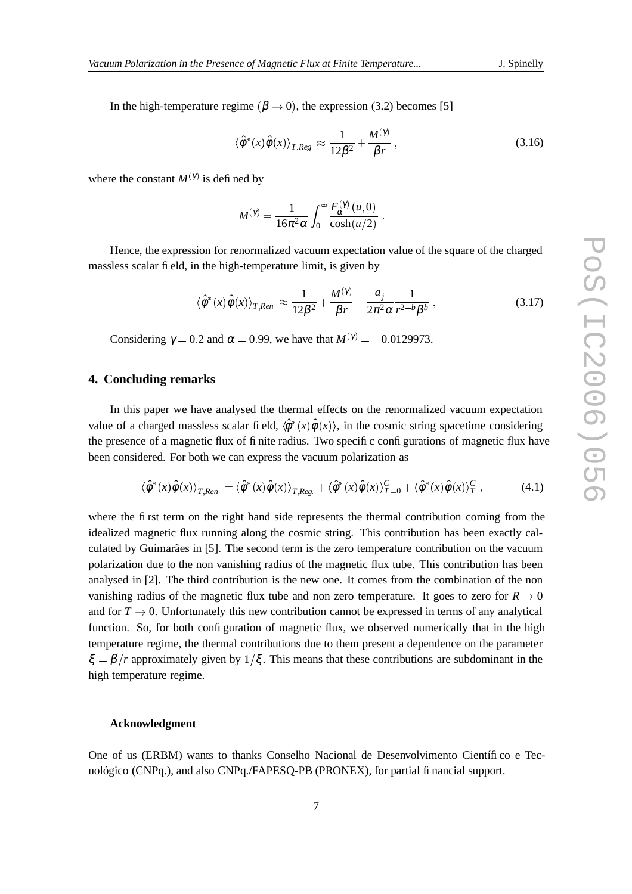In the high-temperature regime  $(\beta \rightarrow 0)$ , the expression (3.2) becomes [5]

$$
\langle \hat{\phi}^*(x)\hat{\phi}(x)\rangle_{T,Reg.} \approx \frac{1}{12\beta^2} + \frac{M^{(\gamma)}}{\beta r},\qquad(3.16)
$$

 

where the constant  $M^{(\gamma)}$  is defined by

$$
M^{(\gamma)} = \frac{1}{16\pi^2\alpha} \int_0^\infty \frac{F_{\alpha}^{(\gamma)}(u,0)}{\cosh(u/2)} \ .
$$

Hence, the expression for renormalized vacuum expectation value of the square of the charged massless scalar field, in the high-temperature limit, is given by

$$
\langle \hat{\phi}^*(x)\hat{\phi}(x)\rangle_{T,Ren.} \approx \frac{1}{12\beta^2} + \frac{M^{(\gamma)}}{\beta r} + \frac{a_j}{2\pi^2 \alpha} \frac{1}{r^{2-b}\beta^b} ,\qquad (3.17)
$$

Considering  $\gamma = 0.2$  and  $\alpha = 0.99$ , we have that  $M^{(\gamma)} = -0.0129973$ .

#### **4. Concluding remarks**

In this paper we have analysed the thermal effects on the renormalized vacuum expectation value of a charged massless scalar field,  $\langle \hat{\phi}^*(x) \hat{\phi}(x) \rangle$ , in the cosmic string spacetime considering the presence of a magnetic flux of finite radius. Two specific configurations of magnetic flux have been considered. For both we can express the vacuum polarization as

$$
\langle \hat{\phi}^*(x)\hat{\phi}(x)\rangle_{T,Ren.} = \langle \hat{\phi}^*(x)\hat{\phi}(x)\rangle_{T,Reg.} + \langle \hat{\phi}^*(x)\hat{\phi}(x)\rangle_{T=0}^C + \langle \hat{\phi}^*(x)\hat{\phi}(x)\rangle_T^C,
$$
(4.1)

where the first term on the right hand side represents the thermal contribution coming from the idealized magnetic flux running along the cosmic string. This contribution has been exactly calculated by Guimarães in [5]. The second term is the zero temperature contribution on the vacuum polarization due to the non vanishing radius of the magnetic flux tube. This contribution has been analysed in [2]. The third contribution is the new one. It comes from the combination of the non vanishing radius of the magnetic flux tube and non zero temperature. It goes to zero for  $R \to 0$ and for  $T \to 0$ . Unfortunately this new contribution cannot be expressed in terms of any analytical function. So, for both configuration of magnetic flux, we observed numerically that in the high temperature regime, the thermal contributions due to them present a dependence on the parameter  $\xi = \beta / r$  approximately given by  $1/\xi$ . This means that these contributions are subdominant in the high temperature regime.

#### **Acknowledgment**

One of us (ERBM) wants to thanks Conselho Nacional de Desenvolvimento Científico e Tecnológico (CNPq.), and also CNPq./FAPESQ-PB (PRONEX), for partial financial support.